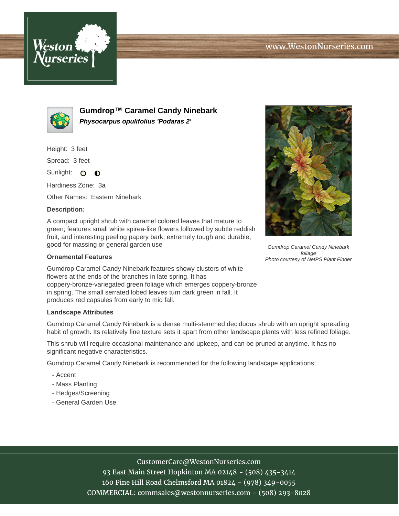



**Gumdrop™ Caramel Candy Ninebark Physocarpus opulifolius 'Podaras 2'**

Height: 3 feet

Spread: 3 feet

Sunlight: O **O** 

Hardiness Zone: 3a

Other Names: Eastern Ninebark

## **Description:**

A compact upright shrub with caramel colored leaves that mature to green; features small white spirea-like flowers followed by subtle reddish fruit, and interesting peeling papery bark; extremely tough and durable, good for massing or general garden use

## **Ornamental Features**

Gumdrop Caramel Candy Ninebark features showy clusters of white flowers at the ends of the branches in late spring. It has coppery-bronze-variegated green foliage which emerges coppery-bronze in spring. The small serrated lobed leaves turn dark green in fall. It produces red capsules from early to mid fall.

## **Landscape Attributes**

Gumdrop Caramel Candy Ninebark is a dense multi-stemmed deciduous shrub with an upright spreading habit of growth. Its relatively fine texture sets it apart from other landscape plants with less refined foliage.

This shrub will require occasional maintenance and upkeep, and can be pruned at anytime. It has no significant negative characteristics.

Gumdrop Caramel Candy Ninebark is recommended for the following landscape applications;

- Accent
- Mass Planting
- Hedges/Screening
- General Garden Use



Gumdrop Caramel Candy Ninebark foliage Photo courtesy of NetPS Plant Finder

CustomerCare@WestonNurseries.com

93 East Main Street Hopkinton MA 02148 - (508) 435-3414 160 Pine Hill Road Chelmsford MA 01824 - (978) 349-0055 COMMERCIAL: commsales@westonnurseries.com - (508) 293-8028